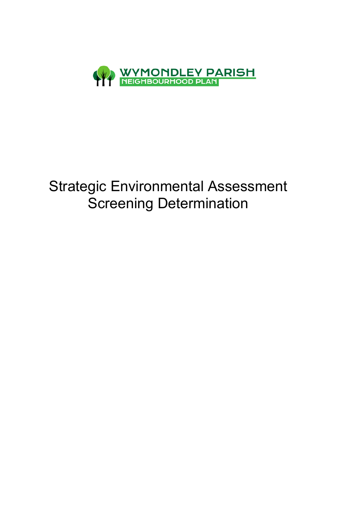

# Strategic Environmental Assessment Screening Determination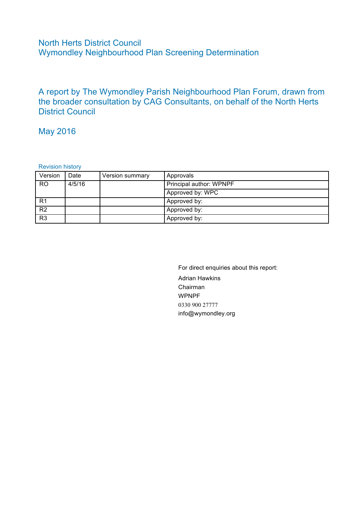### North Herts District Council Wymondley Neighbourhood Plan Screening Determination

A report by The Wymondley Parish Neighbourhood Plan Forum, drawn from the broader consultation by CAG Consultants, on behalf of the North Herts District Council

### May 2016

Revision history

| Version        | Date   | Version summary | Approvals               |  |
|----------------|--------|-----------------|-------------------------|--|
| <b>RO</b>      | 4/5/16 |                 | Principal author: WPNPF |  |
|                |        |                 | Approved by: WPC        |  |
| R <sub>1</sub> |        |                 | Approved by:            |  |
| R <sub>2</sub> |        |                 | Approved by:            |  |
| R <sub>3</sub> |        |                 | Approved by:            |  |

For direct enquiries about this report: Adrian Hawkins Chairman WPNPF 0330 900 27777 info@wymondley.org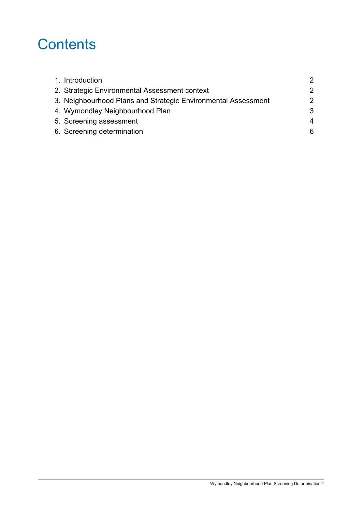# **Contents**

| 1. Introduction                                               | 2 |
|---------------------------------------------------------------|---|
| 2. Strategic Environmental Assessment context                 | 2 |
| 3. Neighbourhood Plans and Strategic Environmental Assessment | 2 |
| 4. Wymondley Neighbourhood Plan                               | 3 |
| 5. Screening assessment                                       | 4 |
| 6. Screening determination                                    | 6 |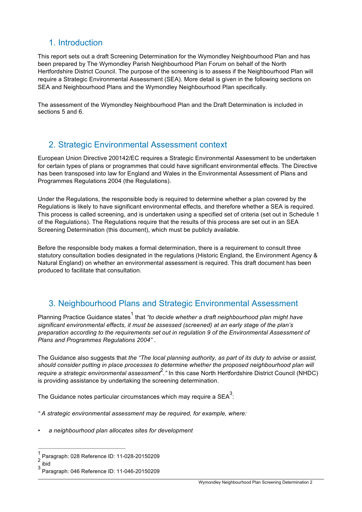# 1. Introduction

This report sets out a draft Screening Determination for the Wymondley Neighbourhood Plan and has been prepared by The Wymondley Parish Neighbourhood Plan Forum on behalf of the North Hertfordshire District Council. The purpose of the screening is to assess if the Neighbourhood Plan will require a Strategic Environmental Assessment (SEA). More detail is given in the following sections on SEA and Neighbourhood Plans and the Wymondley Neighbourhood Plan specifically.

The assessment of the Wymondley Neighbourhood Plan and the Draft Determination is included in sections 5 and 6.

# 2. Strategic Environmental Assessment context

European Union Directive 200142/EC requires a Strategic Environmental Assessment to be undertaken for certain types of plans or programmes that could have significant environmental effects. The Directive has been transposed into law for England and Wales in the Environmental Assessment of Plans and Programmes Regulations 2004 (the Regulations).

Under the Regulations, the responsible body is required to determine whether a plan covered by the Regulations is likely to have significant environmental effects, and therefore whether a SEA is required. This process is called screening, and is undertaken using a specified set of criteria (set out in Schedule 1 of the Regulations). The Regulations require that the results of this process are set out in an SEA Screening Determination (this document), which must be publicly available.

Before the responsible body makes a formal determination, there is a requirement to consult three statutory consultation bodies designated in the regulations (Historic England, the Environment Agency & Natural England) on whether an environmental assessment is required. This draft document has been produced to facilitate that consultation.

# 3. Neighbourhood Plans and Strategic Environmental Assessment

Planning Practice Guidance states<sup>1</sup> that "to decide whether a draft neighbourhood plan might have *significant environmental effects, it must be assessed (screened) at an early stage of the plan's preparation according to the requirements set out in regulation 9 of the Environmental Assessment of Plans and Programmes Regulations 2004"* .

The Guidance also suggests that *the "The local planning authority, as part of its duty to advise or assist, should consider putting in place processes to determine whether the proposed neighbourhood plan will require a strategic environmental assessment*<sup>2</sup> *."* In this case North Hertfordshire District Council (NHDC) is providing assistance by undertaking the screening determination.

The Guidance notes particular circumstances which may require a SEA $^3\!$ :

*" A strategic environmental assessment may be required, for example, where:*

• *a neighbourhood plan allocates sites for development*

Paragraph: 028 Reference ID: 11-028-20150209

 $rac{2}{3}$  ibid

<sup>3</sup> Paragraph: 046 Reference ID: 11-046-20150209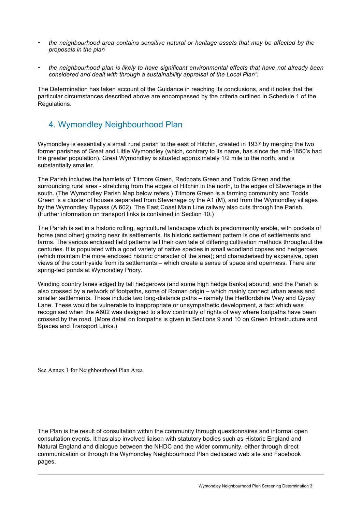- *the neighbourhood area contains sensitive natural or heritage assets that may be affected by the proposals in the plan*
- *the neighbourhood plan is likely to have significant environmental effects that have not already been considered and dealt with through a sustainability appraisal of the Local Plan".*

The Determination has taken account of the Guidance in reaching its conclusions, and it notes that the particular circumstances described above are encompassed by the criteria outlined in Schedule 1 of the Regulations.

# 4. Wymondley Neighbourhood Plan

Wymondley is essentially a small rural parish to the east of Hitchin, created in 1937 by merging the two former parishes of Great and Little Wymondley (which, contrary to its name, has since the mid-1850's had the greater population). Great Wymondley is situated approximately 1/2 mile to the north, and is substantially smaller.

The Parish includes the hamlets of Titmore Green, Redcoats Green and Todds Green and the surrounding rural area - stretching from the edges of Hitchin in the north, to the edges of Stevenage in the south. (The Wymondley Parish Map below refers.) Titmore Green is a farming community and Todds Green is a cluster of houses separated from Stevenage by the A1 (M), and from the Wymondley villages by the Wymondley Bypass (A 602). The East Coast Main Line railway also cuts through the Parish. (Further information on transport links is contained in Section 10.)

The Parish is set in a historic rolling, agricultural landscape which is predominantly arable, with pockets of horse (and other) grazing near its settlements. Its historic settlement pattern is one of settlements and farms. The various enclosed field patterns tell their own tale of differing cultivation methods throughout the centuries. It is populated with a good variety of native species in small woodland copses and hedgerows, (which maintain the more enclosed historic character of the area); and characterised by expansive, open views of the countryside from its settlements – which create a sense of space and openness. There are spring-fed ponds at Wymondley Priory.

Winding country lanes edged by tall hedgerows (and some high hedge banks) abound; and the Parish is also crossed by a network of footpaths, some of Roman origin – which mainly connect urban areas and smaller settlements. These include two long-distance paths – namely the Hertfordshire Way and Gypsy Lane. These would be vulnerable to inappropriate or unsympathetic development, a fact which was recognised when the A602 was designed to allow continuity of rights of way where footpaths have been crossed by the road. (More detail on footpaths is given in Sections 9 and 10 on Green Infrastructure and Spaces and Transport Links.)

See Annex 1 for Neighbourhood Plan Area

The Plan is the result of consultation within the community through questionnaires and informal open consultation events. It has also involved liaison with statutory bodies such as Historic England and Natural England and dialogue between the NHDC and the wider community, either through direct communication or through the Wymondley Neighbourhood Plan dedicated web site and Facebook pages.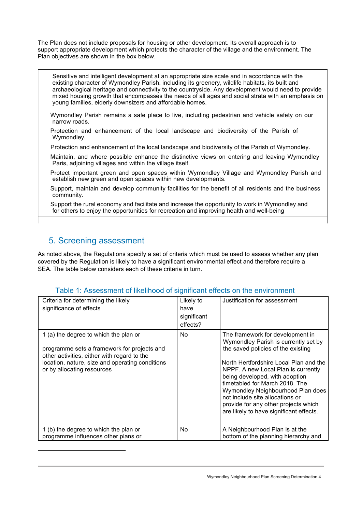The Plan does not include proposals for housing or other development. Its overall approach is to support appropriate development which protects the character of the village and the environment. The Plan objectives are shown in the box below.

Sensitive and intelligent development at an appropriate size scale and in accordance with the existing character of Wymondley Parish, including its greenery, wildlife habitats, its built and archaeological heritage and connectivity to the countryside. Any development would need to provide mixed housing growth that encompasses the needs of all ages and social strata with an emphasis on young families, elderly downsizers and affordable homes.

Wymondley Parish remains a safe place to live, including pedestrian and vehicle safety on our narrow roads.

Protection and enhancement of the local landscape and biodiversity of the Parish of Wymondley.

Protection and enhancement of the local landscape and biodiversity of the Parish of Wymondley.

Maintain, and where possible enhance the distinctive views on entering and leaving Wymondley Paris, adjoining villages and within the village itself.

Protect important green and open spaces within Wymondley Village and Wymondley Parish and establish new green and open spaces within new developments.

Support, maintain and develop community facilities for the benefit of all residents and the business community.

Support the rural economy and facilitate and increase the opportunity to work in Wymondley and for others to enjoy the opportunities for recreation and improving health and well-being

#### 5. Screening assessment

As noted above, the Regulations specify a set of criteria which must be used to assess whether any plan covered by the Regulation is likely to have a significant environmental effect and therefore require a SEA. The table below considers each of these criteria in turn.

#### Table 1: Assessment of likelihood of significant effects on the environment

| Criteria for determining the likely<br>significance of effects                                                                                                                                                       | Likely to<br>have<br>significant<br>effects? | Justification for assessment                                                                                                                                                                                                                                                                                                                                                                                                   |
|----------------------------------------------------------------------------------------------------------------------------------------------------------------------------------------------------------------------|----------------------------------------------|--------------------------------------------------------------------------------------------------------------------------------------------------------------------------------------------------------------------------------------------------------------------------------------------------------------------------------------------------------------------------------------------------------------------------------|
| 1 (a) the degree to which the plan or<br>programme sets a framework for projects and<br>other activities, either with regard to the<br>location, nature, size and operating conditions<br>or by allocating resources | No.                                          | The framework for development in<br>Wymondley Parish is currently set by<br>the saved policies of the existing<br>North Hertfordshire Local Plan and the<br>NPPF. A new Local Plan is currently<br>being developed, with adoption<br>timetabled for March 2018. The<br>Wymondley Neighbourhood Plan does<br>not include site allocations or<br>provide for any other projects which<br>are likely to have significant effects. |
| 1 (b) the degree to which the plan or<br>programme influences other plans or                                                                                                                                         | No.                                          | A Neighbourhood Plan is at the<br>bottom of the planning hierarchy and                                                                                                                                                                                                                                                                                                                                                         |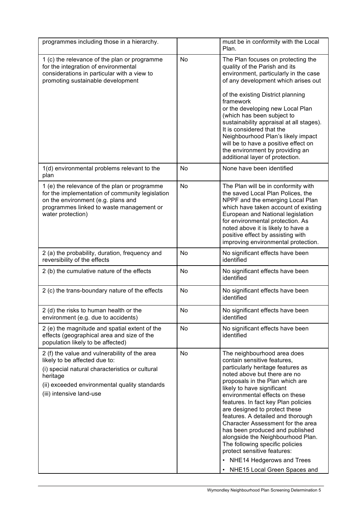| programmes including those in a hierarchy.                                                                                                                                                                                 |    | must be in conformity with the Local<br>Plan.                                                                                                                                                                                                                                                                                                                                                                                                                                                                                                                                                            |
|----------------------------------------------------------------------------------------------------------------------------------------------------------------------------------------------------------------------------|----|----------------------------------------------------------------------------------------------------------------------------------------------------------------------------------------------------------------------------------------------------------------------------------------------------------------------------------------------------------------------------------------------------------------------------------------------------------------------------------------------------------------------------------------------------------------------------------------------------------|
| 1 (c) the relevance of the plan or programme<br>for the integration of environmental<br>considerations in particular with a view to<br>promoting sustainable development                                                   | No | The Plan focuses on protecting the<br>quality of the Parish and its<br>environment, particularly in the case<br>of any development which arises out<br>of the existing District planning<br>framework<br>or the developing new Local Plan<br>(which has been subject to<br>sustainability appraisal at all stages).<br>It is considered that the<br>Neighbourhood Plan's likely impact<br>will be to have a positive effect on<br>the environment by providing an<br>additional layer of protection.                                                                                                     |
| 1(d) environmental problems relevant to the<br>plan                                                                                                                                                                        | No | None have been identified                                                                                                                                                                                                                                                                                                                                                                                                                                                                                                                                                                                |
| 1 (e) the relevance of the plan or programme<br>for the implementation of community legislation<br>on the environment (e.g. plans and<br>programmes linked to waste management or<br>water protection)                     | No | The Plan will be in conformity with<br>the saved Local Plan Polices, the<br>NPPF and the emerging Local Plan<br>which have taken account of existing<br>European and National legislation<br>for environmental protection. As<br>noted above it is likely to have a<br>positive effect by assisting with<br>improving environmental protection.                                                                                                                                                                                                                                                          |
| 2 (a) the probability, duration, frequency and<br>reversibility of the effects                                                                                                                                             | No | No significant effects have been<br>identified                                                                                                                                                                                                                                                                                                                                                                                                                                                                                                                                                           |
| 2 (b) the cumulative nature of the effects                                                                                                                                                                                 | No | No significant effects have been<br>identified                                                                                                                                                                                                                                                                                                                                                                                                                                                                                                                                                           |
| 2 (c) the trans-boundary nature of the effects                                                                                                                                                                             | No | No significant effects have been<br>identified                                                                                                                                                                                                                                                                                                                                                                                                                                                                                                                                                           |
| 2 (d) the risks to human health or the<br>environment (e.g. due to accidents)                                                                                                                                              | No | No significant effects have been<br>identified                                                                                                                                                                                                                                                                                                                                                                                                                                                                                                                                                           |
| 2 (e) the magnitude and spatial extent of the<br>effects (geographical area and size of the<br>population likely to be affected)                                                                                           | No | No significant effects have been<br>identified                                                                                                                                                                                                                                                                                                                                                                                                                                                                                                                                                           |
| 2 (f) the value and vulnerability of the area<br>likely to be affected due to:<br>(i) special natural characteristics or cultural<br>heritage<br>(ii) exceeded environmental quality standards<br>(iii) intensive land-use | No | The neighbourhood area does<br>contain sensitive features,<br>particularly heritage features as<br>noted above but there are no<br>proposals in the Plan which are<br>likely to have significant<br>environmental effects on these<br>features. In fact key Plan policies<br>are designed to protect these<br>features. A detailed and thorough<br>Character Assessment for the area<br>has been produced and published<br>alongside the Neighbourhood Plan.<br>The following specific policies<br>protect sensitive features:<br>NHE14 Hedgerows and Trees<br>NHE15 Local Green Spaces and<br>$\bullet$ |